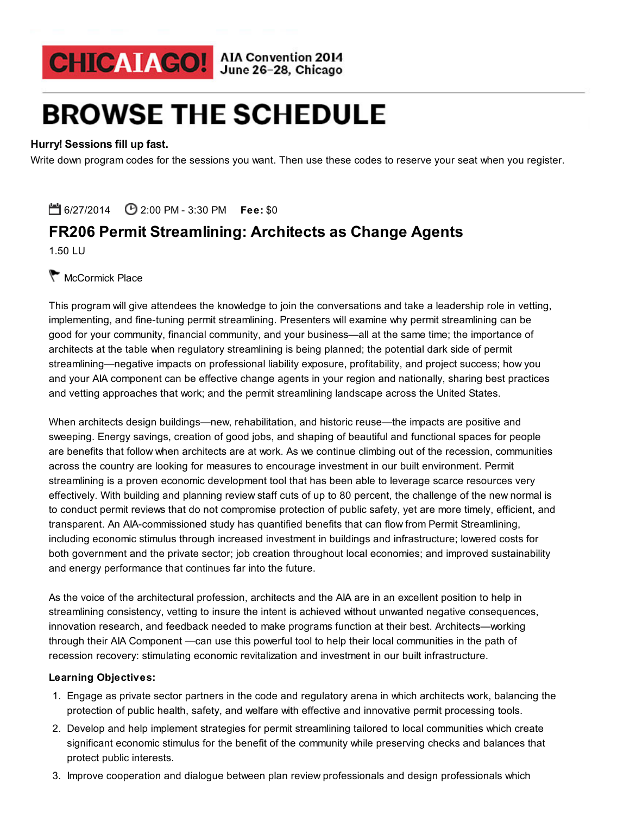## CHICAIAGO! AIA Convention 2014

# **BROWSE THE SCHEDULE**

## Hurry! Sessions fill up fast.

Write down program codes for the sessions you want. Then use these codes to reserve your seat when you register.

6/27/2014 **C** 2:00 PM - 3:30 PM Fee: \$0

## FR206 Permit Streamlining: Architects as Change Agents

1.50 LU

## McCormick Place

This program will give attendees the knowledge to join the conversations and take a leadership role in vetting, implementing, and fine-tuning permit streamlining. Presenters will examine why permit streamlining can be good for your community, financial community, and your business—all at the same time; the importance of architects at the table when regulatory streamlining is being planned; the potential dark side of permit streamlining—negative impacts on professional liability exposure, profitability, and project success; how you and your AIA component can be effective change agents in your region and nationally, sharing best practices and vetting approaches that work; and the permit streamlining landscape across the United States.

When architects design buildings—new, rehabilitation, and historic reuse—the impacts are positive and sweeping. Energy savings, creation of good jobs, and shaping of beautiful and functional spaces for people are benefits that follow when architects are at work. As we continue climbing out of the recession, communities across the country are looking for measures to encourage investment in our built environment. Permit streamlining is a proven economic development tool that has been able to leverage scarce resources very effectively. With building and planning review staff cuts of up to 80 percent, the challenge of the new normal is to conduct permit reviews that do not compromise protection of public safety, yet are more timely, efficient, and transparent. An AIA-commissioned study has quantified benefits that can flow from Permit Streamlining, including economic stimulus through increased investment in buildings and infrastructure; lowered costs for both government and the private sector; job creation throughout local economies; and improved sustainability and energy performance that continues far into the future.

As the voice of the architectural profession, architects and the AIA are in an excellent position to help in streamlining consistency, vetting to insure the intent is achieved without unwanted negative consequences, innovation research, and feedback needed to make programs function at their best. Architects—working through their AIA Component —can use this powerful tool to help their local communities in the path of recession recovery: stimulating economic revitalization and investment in our built infrastructure.

#### Learning Objectives:

- 1. Engage as private sector partners in the code and regulatory arena in which architects work, balancing the protection of public health, safety, and welfare with effective and innovative permit processing tools.
- 2. Develop and help implement strategies for permit streamlining tailored to local communities which create significant economic stimulus for the benefit of the community while preserving checks and balances that protect public interests.
- 3. Improve cooperation and dialogue between plan review professionals and design professionals which